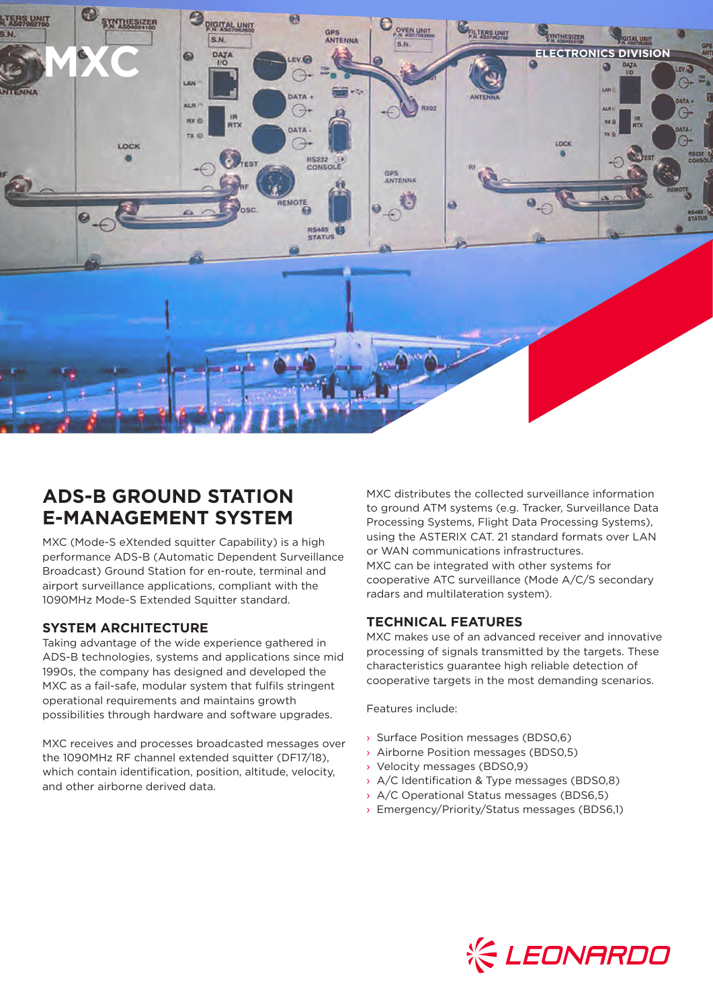

# **ADS-B GROUND STATION E-MANAGEMENT SYSTEM**

MXC (Mode-S eXtended squitter Capability) is a high performance ADS-B (Automatic Dependent Surveillance Broadcast) Ground Station for en-route, terminal and airport surveillance applications, compliant with the 1090MHz Mode-S Extended Squitter standard.

### **SYSTEM ARCHITECTURE**

Taking advantage of the wide experience gathered in ADS-B technologies, systems and applications since mid 1990s, the company has designed and developed the MXC as a fail-safe, modular system that fulfils stringent operational requirements and maintains growth possibilities through hardware and software upgrades.

MXC receives and processes broadcasted messages over the 1090MHz RF channel extended squitter (DF17/18), which contain identification, position, altitude, velocity, and other airborne derived data.

MXC distributes the collected surveillance information to ground ATM systems (e.g. Tracker, Surveillance Data Processing Systems, Flight Data Processing Systems), using the ASTERIX CAT. 21 standard formats over LAN or WAN communications infrastructures. MXC can be integrated with other systems for cooperative ATC surveillance (Mode A/C/S secondary radars and multilateration system).

## **TECHNICAL FEATURES**

MXC makes use of an advanced receiver and innovative processing of signals transmitted by the targets. These characteristics guarantee high reliable detection of cooperative targets in the most demanding scenarios.

Features include:

- › Surface Position messages (BDS0,6)
- › Airborne Position messages (BDS0,5)
- › Velocity messages (BDS0,9)
- › A/C Identification & Type messages (BDS0,8)
- › A/C Operational Status messages (BDS6,5)
- › Emergency/Priority/Status messages (BDS6,1)